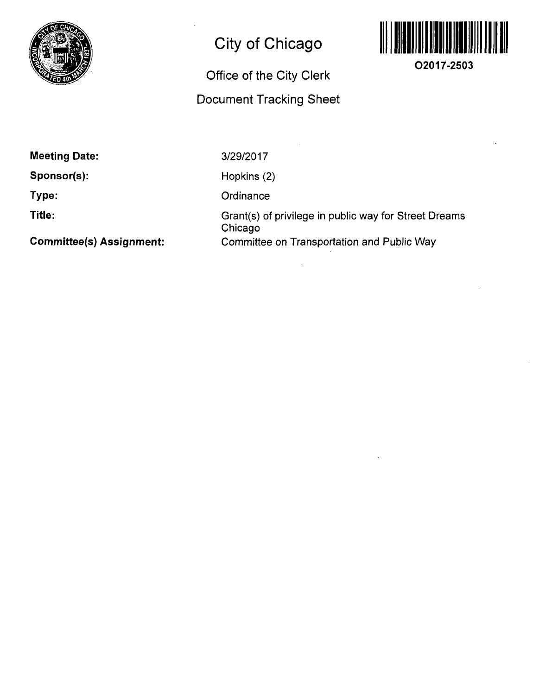

## **City of Chicago**

## **Office of the City Clerk Document Tracking Sheet**



**O2017-2503** 

**Meeting Date:** 

**Sponsor(s):** 

**Type:** 

**Title:** 

**Committee(s) Assignment:** 

3/29/2017

Hopkins (2)

**Ordinance** 

Grant(s) of privilege in public way for Street Dreams Chicago Committee on Transportation and Public Way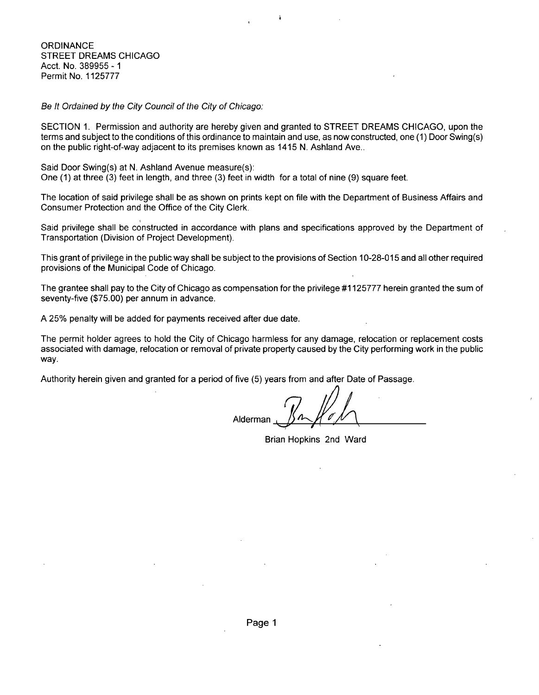**ORDINANCE** STREET DREAMS CHICAGO Acct. No. 389955 -1 Permit No. 1125777

Be It Ordained by the City Council of the City of Chicago:

SECTION 1. Permission and authority are hereby given and granted to STREET DREAMS CHICAGO, upon the terms and subject to the conditions of this ordinance to maintain and use, as now constructed, one (1) Door Swing(s) on the public right-of-way adjacent to its premises known as 1415 N. Ashland Ave..

Said Door Swing(s) at N. Ashland Avenue measure(s): One (1) at three (3) feet in length, and three (3) feet in width for a total of nine (9) square feet.

The location of said privilege shall be as shown on prints kept on file with the Department of Business Affairs and Consumer Protection and the Office of the City Clerk.

Said privilege shall be constructed in accordance with plans and specifications approved by the Department of Transportation (Division of Project Development).

This grant of privilege in the public way shall be subject to the provisions of Section 10-28-015 and all other required provisions of the Municipal Code of Chicago.

The grantee shall pay to the City of Chicago as compensation for the privilege #1125777 herein granted the sum of seventy-five (\$75.00) per annum in advance.

A 25% penalty will be added for payments received after due date.

The permit holder agrees to hold the City of Chicago harmless for any damage, relocation or replacement costs associated with damage, relocation or removal of private property caused by the City performing work in the public way.

Authority herein given and granted for a period of five (5) years from and after Date of Passage.

Alderman.

Brian Hopkins 2nd Ward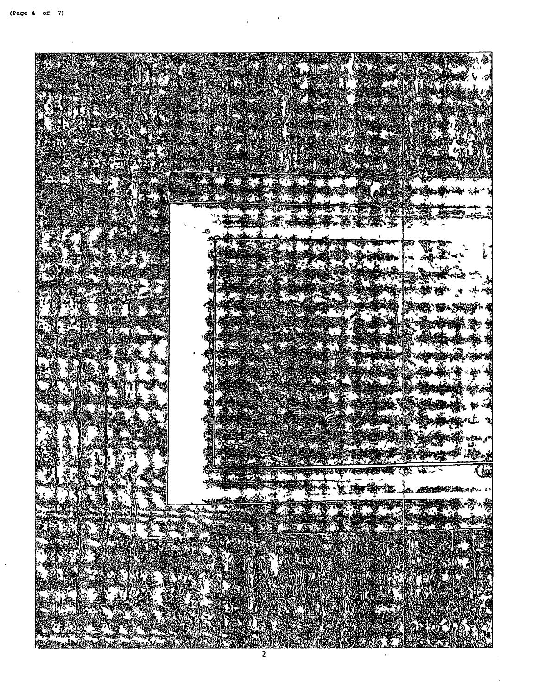